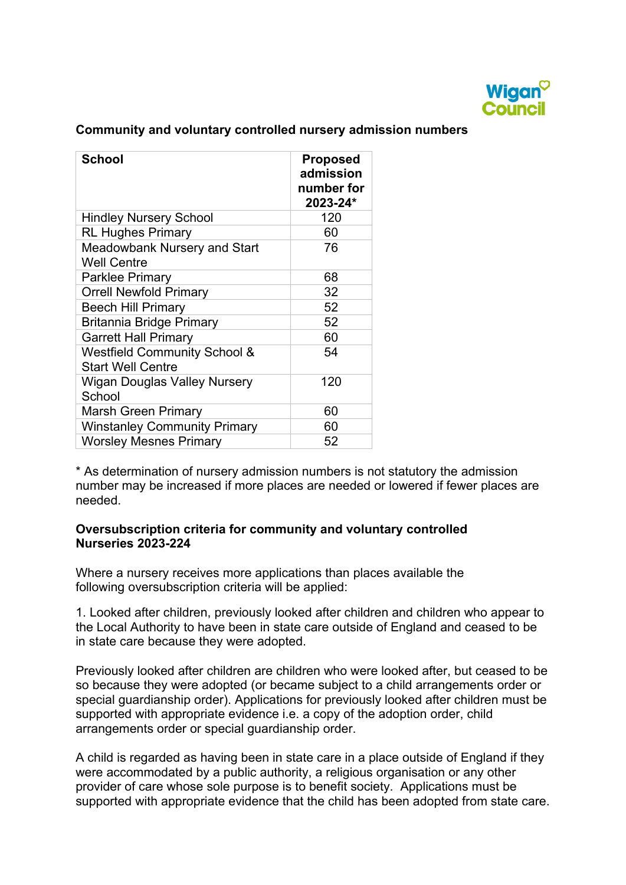

### **Community and voluntary controlled nursery admission numbers**

| <b>School</b>                                                       | <b>Proposed</b><br>admission<br>number for<br>2023-24* |
|---------------------------------------------------------------------|--------------------------------------------------------|
| <b>Hindley Nursery School</b>                                       | 120                                                    |
| <b>RL Hughes Primary</b>                                            | 60                                                     |
| <b>Meadowbank Nursery and Start</b><br><b>Well Centre</b>           | 76                                                     |
| <b>Parklee Primary</b>                                              | 68                                                     |
| <b>Orrell Newfold Primary</b>                                       | 32                                                     |
| <b>Beech Hill Primary</b>                                           | 52                                                     |
| <b>Britannia Bridge Primary</b>                                     | 52                                                     |
| <b>Garrett Hall Primary</b>                                         | 60                                                     |
| <b>Westfield Community School &amp;</b><br><b>Start Well Centre</b> | 54                                                     |
| Wigan Douglas Valley Nursery<br>School                              | 120                                                    |
| <b>Marsh Green Primary</b>                                          | 60                                                     |
| <b>Winstanley Community Primary</b>                                 | 60                                                     |
| <b>Worsley Mesnes Primary</b>                                       | 52                                                     |

\* As determination of nursery admission numbers is not statutory the admission number may be increased if more places are needed or lowered if fewer places are needed.

#### **Oversubscription criteria for community and voluntary controlled Nurseries 2023-224**

Where a nursery receives more applications than places available the following oversubscription criteria will be applied:

 1. Looked after children, previously looked after children and children who appear to the Local Authority to have been in state care outside of England and ceased to be in state care because they were adopted.

Previously looked after children are children who were looked after, but ceased to be so because they were adopted (or became subject to a child arrangements order or special guardianship order). Applications for previously looked after children must be supported with appropriate evidence i.e. a copy of the adoption order, child arrangements order or special guardianship order.

 supported with appropriate evidence that the child has been adopted from state care. A child is regarded as having been in state care in a place outside of England if they were accommodated by a public authority, a religious organisation or any other provider of care whose sole purpose is to benefit society. Applications must be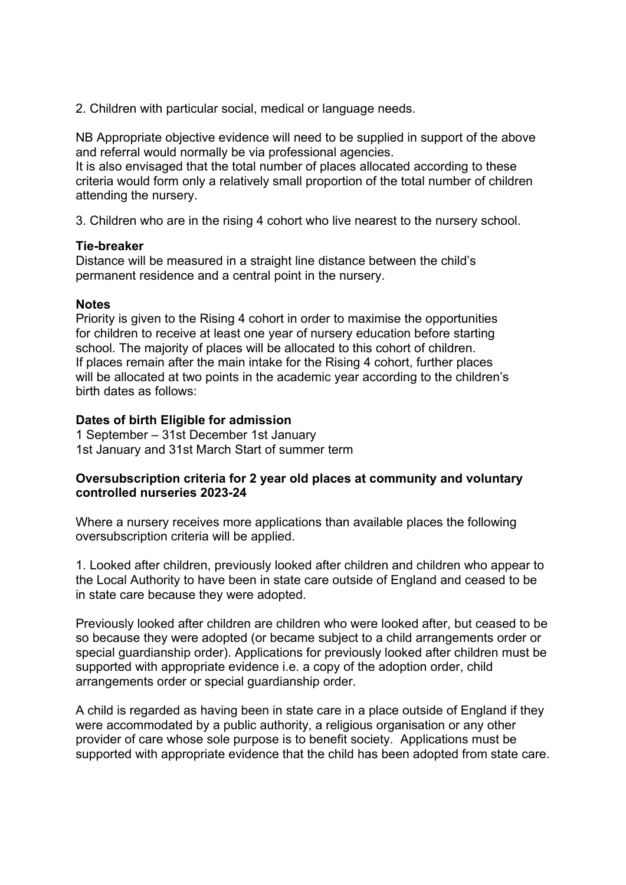2. Children with particular social, medical or language needs.

NB Appropriate objective evidence will need to be supplied in support of the above and referral would normally be via professional agencies.

It is also envisaged that the total number of places allocated according to these criteria would form only a relatively small proportion of the total number of children attending the nursery.

3. Children who are in the rising 4 cohort who live nearest to the nursery school.

#### **Tie-breaker**

Distance will be measured in a straight line distance between the child's permanent residence and a central point in the nursery.

#### **Notes**

Priority is given to the Rising 4 cohort in order to maximise the opportunities for children to receive at least one year of nursery education before starting school. The majority of places will be allocated to this cohort of children. If places remain after the main intake for the Rising 4 cohort, further places will be allocated at two points in the academic year according to the children's birth dates as follows:

## **Dates of birth Eligible for admission**

1 September – 31st December 1st January 1st January and 31st March Start of summer term

#### **Oversubscription criteria for 2 year old places at community and voluntary controlled nurseries 2023-24**

Where a nursery receives more applications than available places the following oversubscription criteria will be applied.

1. Looked after children, previously looked after children and children who appear to the Local Authority to have been in state care outside of England and ceased to be in state care because they were adopted.

Previously looked after children are children who were looked after, but ceased to be so because they were adopted (or became subject to a child arrangements order or special guardianship order). Applications for previously looked after children must be supported with appropriate evidence i.e. a copy of the adoption order, child arrangements order or special guardianship order.

 supported with appropriate evidence that the child has been adopted from state care. A child is regarded as having been in state care in a place outside of England if they were accommodated by a public authority, a religious organisation or any other provider of care whose sole purpose is to benefit society. Applications must be